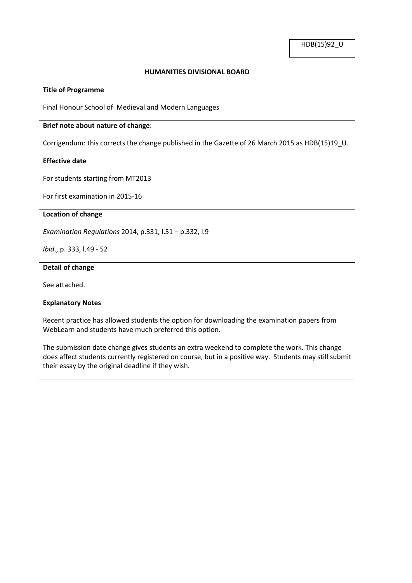## **HUMANITIES DIVISIONAL BOARD**

### **Title of Programme**

Final Honour School of Medieval and Modern Languages

## **Brief note about nature of change**:

Corrigendum: this corrects the change published in the Gazette of 26 March 2015 as HDB(15)19\_U.

# **Effective date**

For students starting from MT2013

For first examination in 2015-16

### **Location of change**

*Examination Regulations* 2014, p.331, l.51 – p.332, l.9

*Ibid*., p. 333, l.49 - 52

#### **Detail of change**

See attached.

#### **Explanatory Notes**

Recent practice has allowed students the option for downloading the examination papers from WebLearn and students have much preferred this option.

The submission date change gives students an extra weekend to complete the work. This change does affect students currently registered on course, but in a positive way. Students may still submit their essay by the original deadline if they wish.